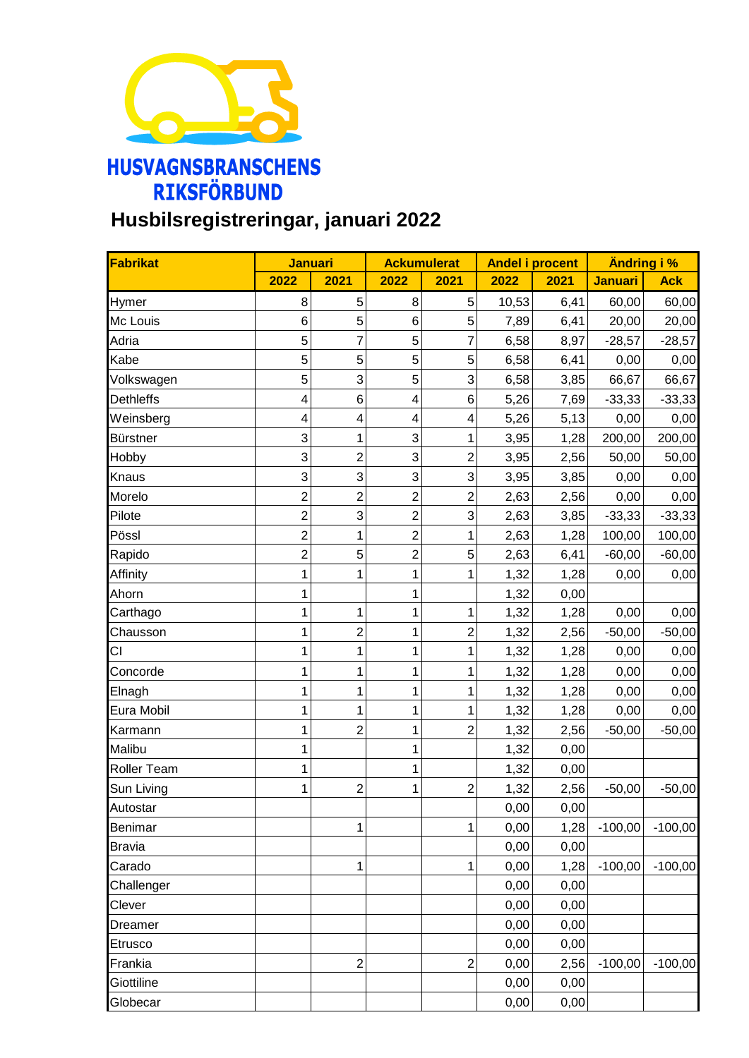

## **Husbilsregistreringar, januari 2022**

| Fabrikat         | <b>Januari</b>          |                         | <b>Ackumulerat</b>      |                | <b>Andel i procent</b> |      | Ändring i %    |            |
|------------------|-------------------------|-------------------------|-------------------------|----------------|------------------------|------|----------------|------------|
|                  | 2022                    | 2021                    | 2022                    | 2021           | 2022                   | 2021 | <b>Januari</b> | <b>Ack</b> |
| Hymer            | 8                       | 5                       | 8                       | 5              | 10,53                  | 6,41 | 60,00          | 60,00      |
| Mc Louis         | $6\phantom{1}6$         | 5                       | 6                       | 5              | 7,89                   | 6,41 | 20,00          | 20,00      |
| Adria            | 5                       | $\overline{7}$          | 5                       | $\overline{7}$ | 6,58                   | 8,97 | $-28,57$       | $-28,57$   |
| Kabe             | 5                       | 5                       | 5                       | 5              | 6,58                   | 6,41 | 0,00           | 0,00       |
| Volkswagen       | 5                       | 3                       | 5                       | 3              | 6,58                   | 3,85 | 66,67          | 66,67      |
| <b>Dethleffs</b> | $\overline{\mathbf{4}}$ | 6                       | $\overline{\mathbf{4}}$ | 6              | 5,26                   | 7,69 | $-33,33$       | $-33,33$   |
| Weinsberg        | 4                       | 4                       | 4                       | 4              | 5,26                   | 5,13 | 0,00           | 0,00       |
| <b>Bürstner</b>  | 3                       | 1                       | 3                       | $\mathbf 1$    | 3,95                   | 1,28 | 200,00         | 200,00     |
| Hobby            | 3                       | $\overline{\mathbf{c}}$ | 3                       | $\overline{2}$ | 3,95                   | 2,56 | 50,00          | 50,00      |
| Knaus            | 3                       | 3                       | 3                       | 3              | 3,95                   | 3,85 | 0,00           | 0,00       |
| Morelo           | $\overline{c}$          | $\overline{c}$          | $\overline{2}$          | $\overline{c}$ | 2,63                   | 2,56 | 0,00           | 0,00       |
| Pilote           | $\overline{2}$          | 3                       | $\overline{2}$          | 3              | 2,63                   | 3,85 | $-33,33$       | $-33,33$   |
| Pössl            | $\overline{2}$          | 1                       | $\overline{2}$          | $\mathbf{1}$   | 2,63                   | 1,28 | 100,00         | 100,00     |
| Rapido           | $\overline{2}$          | 5                       | $\overline{2}$          | 5              | 2,63                   | 6,41 | $-60,00$       | $-60,00$   |
| Affinity         | 1                       | 1                       | 1                       | $\mathbf{1}$   | 1,32                   | 1,28 | 0,00           | 0,00       |
| Ahorn            | 1                       |                         | 1                       |                | 1,32                   | 0,00 |                |            |
| Carthago         | 1                       | 1                       | 1                       | $\mathbf{1}$   | 1,32                   | 1,28 | 0,00           | 0,00       |
| Chausson         | 1                       | $\overline{c}$          | 1                       | $\overline{2}$ | 1,32                   | 2,56 | $-50,00$       | $-50,00$   |
| CI               | 1                       | 1                       | 1                       | $\mathbf{1}$   | 1,32                   | 1,28 | 0,00           | 0,00       |
| Concorde         | 1                       | 1                       | 1                       | $\mathbf{1}$   | 1,32                   | 1,28 | 0,00           | 0,00       |
| Elnagh           | 1                       | 1                       | 1                       | $\mathbf{1}$   | 1,32                   | 1,28 | 0,00           | 0,00       |
| Eura Mobil       | 1                       | 1                       | 1                       | $\mathbf{1}$   | 1,32                   | 1,28 | 0,00           | 0,00       |
| Karmann          | 1                       | $\overline{2}$          | 1                       | $\overline{2}$ | 1,32                   | 2,56 | $-50,00$       | $-50,00$   |
| Malibu           | 1                       |                         | 1                       |                | 1,32                   | 0,00 |                |            |
| Roller Team      | 1                       |                         | 1                       |                | 1,32                   | 0,00 |                |            |
| Sun Living       | 1                       | $\overline{c}$          | 1                       | $\overline{c}$ | 1,32                   | 2,56 | $-50,00$       | $-50,00$   |
| Autostar         |                         |                         |                         |                | 0,00                   | 0,00 |                |            |
| Benimar          |                         | 1                       |                         | $\mathbf{1}$   | 0,00                   | 1,28 | $-100,00$      | $-100,00$  |
| <b>Bravia</b>    |                         |                         |                         |                | 0,00                   | 0,00 |                |            |
| Carado           |                         | 1                       |                         | $\mathbf{1}$   | 0,00                   | 1,28 | $-100,00$      | $-100,00$  |
| Challenger       |                         |                         |                         |                | 0,00                   | 0,00 |                |            |
| Clever           |                         |                         |                         |                | 0,00                   | 0,00 |                |            |
| Dreamer          |                         |                         |                         |                | 0,00                   | 0,00 |                |            |
| Etrusco          |                         |                         |                         |                | 0,00                   | 0,00 |                |            |
| Frankia          |                         | $\overline{\mathbf{c}}$ |                         | $\overline{c}$ | 0,00                   | 2,56 | $-100,00$      | $-100,00$  |
| Giottiline       |                         |                         |                         |                | 0,00                   | 0,00 |                |            |
| Globecar         |                         |                         |                         |                | 0,00                   | 0,00 |                |            |